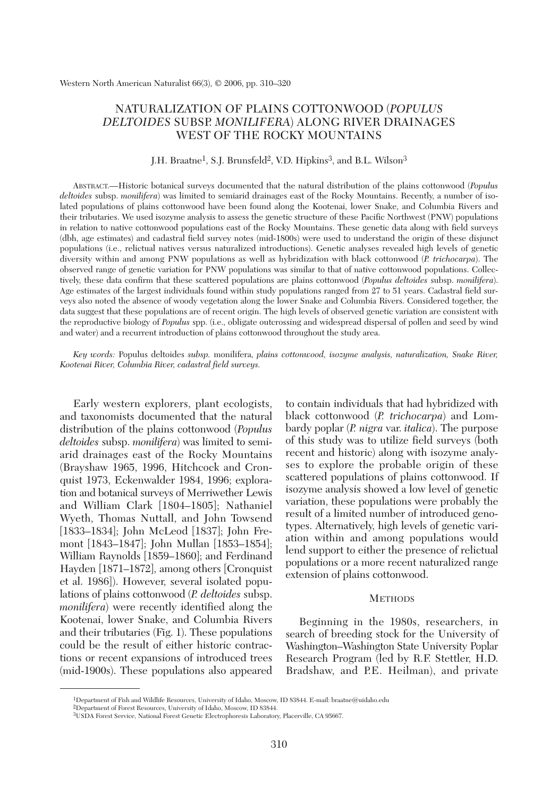# NATURALIZATION OF PLAINS COTTONWOOD (*POPULUS DELTOIDES* SUBSP. *MONILIFERA*) ALONG RIVER DRAINAGES WEST OF THE ROCKY MOUNTAINS

# J.H. Braatne<sup>1</sup>, S.J. Brunsfeld<sup>2</sup>, V.D. Hipkins<sup>3</sup>, and B.L. Wilson<sup>3</sup>

ABSTRACT.—Historic botanical surveys documented that the natural distribution of the plains cottonwood (*Populus deltoides* subsp. *monilifera*) was limited to semiarid drainages east of the Rocky Mountains. Recently, a number of isolated populations of plains cottonwood have been found along the Kootenai, lower Snake, and Columbia Rivers and their tributaries. We used isozyme analysis to assess the genetic structure of these Pacific Northwest (PNW) populations in relation to native cottonwood populations east of the Rocky Mountains. These genetic data along with field surveys (dbh, age estimates) and cadastral field survey notes (mid-1800s) were used to understand the origin of these disjunct populations (i.e., relictual natives versus naturalized introductions). Genetic analyses revealed high levels of genetic diversity within and among PNW populations as well as hybridization with black cottonwood (*P. trichocarpa*). The observed range of genetic variation for PNW populations was similar to that of native cottonwood populations. Collectively, these data confirm that these scattered populations are plains cottonwood (*Populus deltoides* subsp. *monilifera*). Age estimates of the largest individuals found within study populations ranged from 27 to 51 years. Cadastral field surveys also noted the absence of woody vegetation along the lower Snake and Columbia Rivers. Considered together, the data suggest that these populations are of recent origin. The high levels of observed genetic variation are consistent with the reproductive biology of *Populus* spp. (i.e., obligate outcrossing and widespread dispersal of pollen and seed by wind and water) and a recurrent introduction of plains cottonwood throughout the study area.

*Key words:* Populus deltoides *subsp.* monilifera, *plains cottonwood, isozyme analysis, naturalization, Snake River, Kootenai River, Columbia River, cadastral field surveys.*

Early western explorers, plant ecologists, and taxonomists documented that the natural distribution of the plains cottonwood (*Populus deltoides* subsp. *monilifera*) was limited to semiarid drainages east of the Rocky Mountains (Brayshaw 1965, 1996, Hitchcock and Cronquist 1973, Eckenwalder 1984, 1996; exploration and botanical surveys of Merriwether Lewis and William Clark [1804–1805]; Nathaniel Wyeth, Thomas Nuttall, and John Towsend [1833–1834]; John McLeod [1837]; John Fremont [1843–1847]; John Mullan [1853–1854]; William Raynolds [1859–1860]; and Ferdinand Hayden [1871–1872], among others [Cronquist et al. 1986]). However, several isolated populations of plains cottonwood (*P. deltoides* subsp. *monilifera*) were recently identified along the Kootenai, lower Snake, and Columbia Rivers and their tributaries (Fig. 1). These populations could be the result of either historic contractions or recent expansions of introduced trees (mid-1900s). These populations also appeared to contain individuals that had hybridized with black cottonwood (*P. trichocarpa*) and Lombardy poplar (*P. nigra* var. *italica*). The purpose of this study was to utilize field surveys (both recent and historic) along with isozyme analyses to explore the probable origin of these scattered populations of plains cottonwood. If isozyme analysis showed a low level of genetic variation, these populations were probably the result of a limited number of introduced genotypes. Alternatively, high levels of genetic variation within and among populations would lend support to either the presence of relictual populations or a more recent naturalized range extension of plains cottonwood.

#### **METHODS**

Beginning in the 1980s, researchers, in search of breeding stock for the University of Washington–Washington State University Poplar Research Program (led by R.F. Stettler, H.D. Bradshaw, and P.E. Heilman), and private

<sup>1</sup>Department of Fish and Wildlife Resources, University of Idaho, Moscow, ID 83844. E-mail: braatne@uidaho.edu

<sup>2</sup>Department of Forest Resources, University of Idaho, Moscow, ID 83844.

<sup>3</sup>USDA Forest Service, National Forest Genetic Electrophoresis Laboratory, Placerville, CA 95667.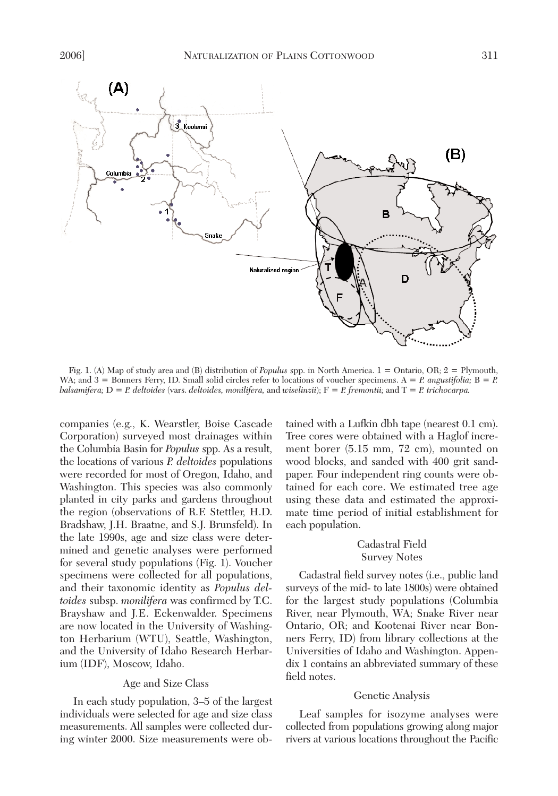

Fig. 1. (A) Map of study area and (B) distribution of *Populus* spp. in North America. 1 = Ontario, OR; 2 = Plymouth, WA; and 3 = Bonners Ferry, ID. Small solid circles refer to locations of voucher specimens. A = *P. angustifolia;* B = *P. balsamifera;* D = *P. deltoides* (vars. *deltoides, monilifera,* and *wiselinzii*); F = *P. fremontii;* and T = *P. trichocarpa.*

companies (e.g., K. Wearstler, Boise Cascade Corporation) surveyed most drainages within the Columbia Basin for *Populus* spp. As a result, the locations of various *P. deltoides* populations were recorded for most of Oregon, Idaho, and Washington. This species was also commonly planted in city parks and gardens throughout the region (observations of R.F. Stettler, H.D. Bradshaw, J.H. Braatne, and S.J. Brunsfeld). In the late 1990s, age and size class were determined and genetic analyses were performed for several study populations (Fig. 1). Voucher specimens were collected for all populations, and their taxonomic identity as *Populus deltoides* subsp. *monilifera* was confirmed by T.C. Brayshaw and J.E. Eckenwalder. Specimens are now located in the University of Washington Herbarium (WTU), Seattle, Washington, and the University of Idaho Research Herbarium (IDF), Moscow, Idaho.

### Age and Size Class

In each study population, 3–5 of the largest individuals were selected for age and size class measurements. All samples were collected during winter 2000. Size measurements were obtained with a Lufkin dbh tape (nearest 0.1 cm). Tree cores were obtained with a Haglof increment borer (5.15 mm, 72 cm), mounted on wood blocks, and sanded with 400 grit sandpaper. Four independent ring counts were obtained for each core. We estimated tree age using these data and estimated the approximate time period of initial establishment for each population.

### Cadastral Field Survey Notes

Cadastral field survey notes (i.e., public land surveys of the mid- to late 1800s) were obtained for the largest study populations (Columbia River, near Plymouth, WA; Snake River near Ontario, OR; and Kootenai River near Bonners Ferry, ID) from library collections at the Universities of Idaho and Washington. Appendix 1 contains an abbreviated summary of these field notes.

### Genetic Analysis

Leaf samples for isozyme analyses were collected from populations growing along major rivers at various locations throughout the Pacific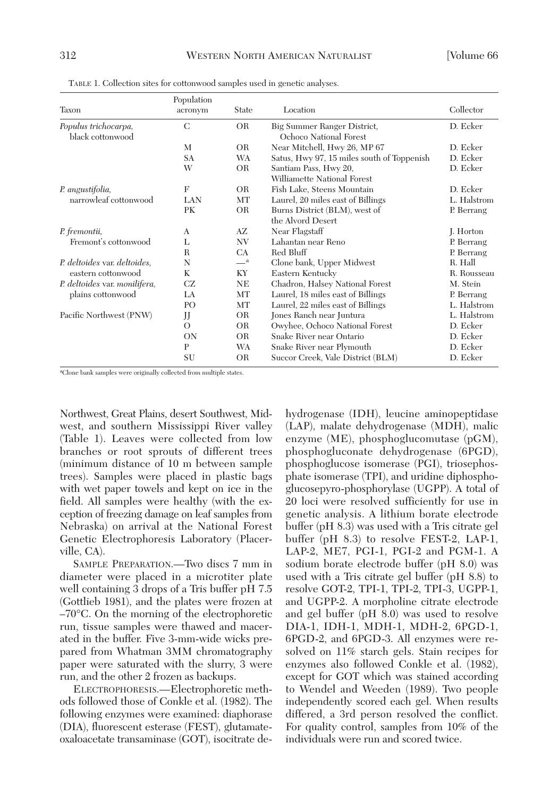| Taxon                                    | Population<br>acronym | State     | Location                                              | Collector   |
|------------------------------------------|-----------------------|-----------|-------------------------------------------------------|-------------|
| Populus trichocarpa,<br>black cottonwood | $\mathcal{C}$         | <b>OR</b> | Big Summer Ranger District,<br>Ochoco National Forest | D. Ecker    |
|                                          | M                     | <b>OR</b> | Near Mitchell, Hwy 26, MP 67                          | D. Ecker    |
|                                          | <b>SA</b>             | WA        | Satus, Hwy 97, 15 miles south of Toppenish            | D. Ecker    |
|                                          | W                     | <b>OR</b> | Santiam Pass, Hwy 20,<br>Williamette National Forest  | D. Ecker    |
| P. angustifolia,                         | F                     | <b>OR</b> | Fish Lake, Steens Mountain                            | D. Ecker    |
| narrowleaf cottonwood                    | LAN                   | МT        | Laurel, 20 miles east of Billings                     | L. Halstrom |
|                                          | PK                    | <b>OR</b> | Burns District (BLM), west of<br>the Alvord Desert    | P. Berrang  |
| P. fremontii,                            | A                     | AZ        | Near Flagstaff                                        | J. Horton   |
| Fremont's cottonwood                     | L                     | NV        | Lahantan near Reno                                    | P. Berrang  |
|                                          | $\mathbb{R}$          | <b>CA</b> | Red Bluff                                             | P. Berrang  |
| P. deltoides var. deltoides.             | N                     | $-{}^a$   | Clone bank, Upper Midwest                             | R. Hall     |
| eastern cottonwood                       | K                     | KY.       | Eastern Kentucky                                      | R. Rousseau |
| P. deltoides var. monilifera,            | CZ                    | NΕ        | Chadron, Halsey National Forest                       | M. Stein    |
| plains cottonwood                        | LA                    | МT        | Laurel, 18 miles east of Billings                     | P. Berrang  |
|                                          | P <sub>O</sub>        | MT        | Laurel, 22 miles east of Billings                     | L. Halstrom |
| Pacific Northwest (PNW)                  | JJ                    | <b>OR</b> | Jones Ranch near Juntura                              | L. Halstrom |
|                                          | $\Omega$              | <b>OR</b> | Owyhee, Ochoco National Forest                        | D. Ecker    |
|                                          | ON                    | <b>OR</b> | Snake River near Ontario                              | D. Ecker    |
|                                          | P                     | WA        | Snake River near Plymouth                             | D. Ecker    |
|                                          | SU                    | <b>OR</b> | Succor Creek, Vale District (BLM)                     | D. Ecker    |

TABLE 1. Collection sites for cottonwood samples used in genetic analyses.

aClone bank samples were originally collected from multiple states.

Northwest, Great Plains, desert Southwest, Midwest, and southern Mississippi River valley (Table 1). Leaves were collected from low branches or root sprouts of different trees (minimum distance of 10 m between sample trees). Samples were placed in plastic bags with wet paper towels and kept on ice in the field. All samples were healthy (with the exception of freezing damage on leaf samples from Nebraska) on arrival at the National Forest Genetic Electrophoresis Laboratory (Placerville, CA).

SAMPLE PREPARATION.—Two discs 7 mm in diameter were placed in a microtiter plate well containing 3 drops of a Tris buffer pH 7.5 (Gottlieb 1981), and the plates were frozen at –70°C. On the morning of the electrophoretic run, tissue samples were thawed and macerated in the buffer. Five 3-mm-wide wicks prepared from Whatman 3MM chromatography paper were saturated with the slurry, 3 were run, and the other 2 frozen as backups.

ELECTROPHORESIS.—Electrophoretic methods followed those of Conkle et al. (1982). The following enzymes were examined: diaphorase (DIA), fluorescent esterase (FEST), glutamateoxaloacetate transaminase (GOT), isocitrate dehydrogenase (IDH), leucine aminopeptidase (LAP), malate dehydrogenase (MDH), malic enzyme (ME), phosphoglucomutase (pGM), phosphogluconate dehydrogenase (6PGD), phosphoglucose isomerase (PGI), triosephosphate isomerase (TPI), and uridine diphosphoglucosepyro-phosphorylase (UGPP). A total of 20 loci were resolved sufficiently for use in genetic analysis. A lithium borate electrode buffer (pH 8.3) was used with a Tris citrate gel buffer (pH 8.3) to resolve FEST-2, LAP-1, LAP-2, ME7, PGI-1, PGI-2 and PGM-1. A sodium borate electrode buffer (pH 8.0) was used with a Tris citrate gel buffer (pH 8.8) to resolve GOT-2, TPI-1, TPI-2, TPI-3, UGPP-1, and UGPP-2. A morpholine citrate electrode and gel buffer (pH 8.0) was used to resolve DIA-1, IDH-1, MDH-1, MDH-2, 6PGD-1, 6PGD-2, and 6PGD-3. All enzymes were resolved on 11% starch gels. Stain recipes for enzymes also followed Conkle et al. (1982), except for GOT which was stained according to Wendel and Weeden (1989). Two people independently scored each gel. When results differed, a 3rd person resolved the conflict. For quality control, samples from 10% of the individuals were run and scored twice.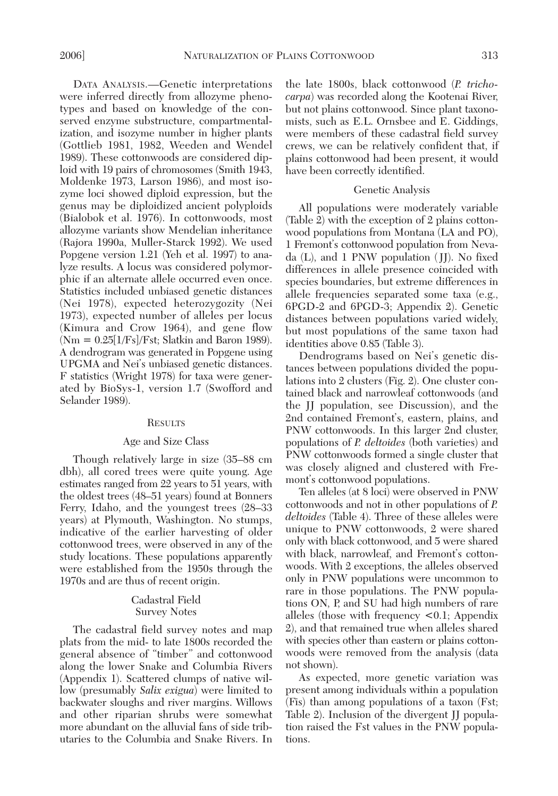DATA ANALYSIS.—Genetic interpretations were inferred directly from allozyme phenotypes and based on knowledge of the conserved enzyme substructure, compartmentalization, and isozyme number in higher plants (Gottlieb 1981, 1982, Weeden and Wendel 1989). These cottonwoods are considered diploid with 19 pairs of chromosomes (Smith 1943, Moldenke 1973, Larson 1986), and most isozyme loci showed diploid expression, but the genus may be diploidized ancient polyploids (Bialobok et al. 1976). In cottonwoods, most allozyme variants show Mendelian inheritance (Rajora 1990a, Muller-Starck 1992). We used Popgene version 1.21 (Yeh et al. 1997) to analyze results. A locus was considered polymorphic if an alternate allele occurred even once. Statistics included unbiased genetic distances (Nei 1978), expected heterozygozity (Nei 1973), expected number of alleles per locus (Kimura and Crow 1964), and gene flow  $(Nm = 0.25[1/Fs]/Fst$ ; Slatkin and Baron 1989). A dendrogram was generated in Popgene using UPGMA and Nei's unbiased genetic distances. F statistics (Wright 1978) for taxa were generated by BioSys-1, version 1.7 (Swofford and Selander 1989).

#### **RESULTS**

#### Age and Size Class

Though relatively large in size (35–88 cm dbh), all cored trees were quite young. Age estimates ranged from 22 years to 51 years, with the oldest trees (48–51 years) found at Bonners Ferry, Idaho, and the youngest trees (28–33 years) at Plymouth, Washington. No stumps, indicative of the earlier harvesting of older cottonwood trees, were observed in any of the study locations. These populations apparently were established from the 1950s through the 1970s and are thus of recent origin.

### Cadastral Field Survey Notes

The cadastral field survey notes and map plats from the mid- to late 1800s recorded the general absence of "timber" and cottonwood along the lower Snake and Columbia Rivers (Appendix 1). Scattered clumps of native willow (presumably *Salix exigua*) were limited to backwater sloughs and river margins. Willows and other riparian shrubs were somewhat more abundant on the alluvial fans of side tributaries to the Columbia and Snake Rivers. In the late 1800s, black cottonwood (*P. trichocarpa*) was recorded along the Kootenai River, but not plains cottonwood. Since plant taxonomists, such as E.L. Ornsbee and E. Giddings, were members of these cadastral field survey crews, we can be relatively confident that, if plains cottonwood had been present, it would have been correctly identified.

#### Genetic Analysis

All populations were moderately variable (Table 2) with the exception of 2 plains cottonwood populations from Montana (LA and PO), 1 Fremont's cottonwood population from Nevada  $(L)$ , and 1 PNW population  $(II)$ . No fixed differences in allele presence coincided with species boundaries, but extreme differences in allele frequencies separated some taxa (e.g., 6PGD-2 and 6PGD-3; Appendix 2). Genetic distances between populations varied widely, but most populations of the same taxon had identities above 0.85 (Table 3).

Dendrograms based on Nei's genetic distances between populations divided the populations into 2 clusters (Fig. 2). One cluster contained black and narrowleaf cottonwoods (and the JJ population, see Discussion), and the 2nd contained Fremont's, eastern, plains, and PNW cottonwoods. In this larger 2nd cluster, populations of *P. deltoides* (both varieties) and PNW cottonwoods formed a single cluster that was closely aligned and clustered with Fremont's cottonwood populations.

Ten alleles (at 8 loci) were observed in PNW cottonwoods and not in other populations of *P. deltoides* (Table 4). Three of these alleles were unique to PNW cottonwoods, 2 were shared only with black cottonwood, and 5 were shared with black, narrowleaf, and Fremont's cottonwoods. With 2 exceptions, the alleles observed only in PNW populations were uncommon to rare in those populations. The PNW populations ON, P, and SU had high numbers of rare alleles (those with frequency <0.1; Appendix 2), and that remained true when alleles shared with species other than eastern or plains cottonwoods were removed from the analysis (data not shown).

As expected, more genetic variation was present among individuals within a population (Fis) than among populations of a taxon (Fst; Table 2). Inclusion of the divergent JJ population raised the Fst values in the PNW populations.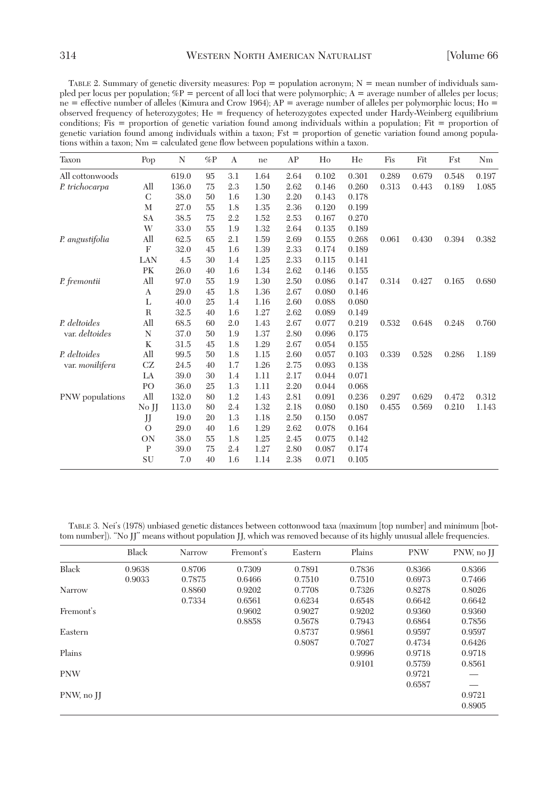TABLE 2. Summary of genetic diversity measures: Pop = population acronym; N = mean number of individuals sampled per locus per population; %P = percent of all loci that were polymorphic; A = average number of alleles per locus;  $ne$  = effective number of alleles (Kimura and Crow 1964);  $AP$  = average number of alleles per polymorphic locus;  $Ho =$ observed frequency of heterozygotes; He = frequency of heterozygotes expected under Hardy-Weinberg equilibrium conditions; Fis = proportion of genetic variation found among individuals within a population; Fit = proportion of genetic variation found among individuals within a taxon; Fst = proportion of genetic variation found among populations within a taxon; Nm = calculated gene flow between populations within a taxon.

| Taxon                  | Pop                              | N     | $\%\mathrm{P}$ | A       | ne   | AP   | Ho    | He    | Fis   | Fit   | Fst   | Nm    |
|------------------------|----------------------------------|-------|----------------|---------|------|------|-------|-------|-------|-------|-------|-------|
| All cottonwoods        |                                  | 619.0 | 95             | 3.1     | 1.64 | 2.64 | 0.102 | 0.301 | 0.289 | 0.679 | 0.548 | 0.197 |
| P. trichocarpa         | All                              | 136.0 | 75             | 2.3     | 1.50 | 2.62 | 0.146 | 0.260 | 0.313 | 0.443 | 0.189 | 1.085 |
|                        | $\mathcal{C}$                    | 38.0  | 50             | 1.6     | 1.30 | 2.20 | 0.143 | 0.178 |       |       |       |       |
|                        | M                                | 27.0  | 55             | 1.8     | 1.35 | 2.36 | 0.120 | 0.199 |       |       |       |       |
|                        | SA                               | 38.5  | 75             | 2.2     | 1.52 | 2.53 | 0.167 | 0.270 |       |       |       |       |
|                        | W                                | 33.0  | 55             | 1.9     | 1.32 | 2.64 | 0.135 | 0.189 |       |       |       |       |
| P. angustifolia        | All                              | 62.5  | 65             | 2.1     | 1.59 | 2.69 | 0.155 | 0.268 | 0.061 | 0.430 | 0.394 | 0.382 |
|                        | $\mathbf F$                      | 32.0  | 45             | 1.6     | 1.39 | 2.33 | 0.174 | 0.189 |       |       |       |       |
|                        | LAN                              | 4.5   | 30             | 1.4     | 1.25 | 2.33 | 0.115 | 0.141 |       |       |       |       |
|                        | PК                               | 26.0  | 40             | 1.6     | 1.34 | 2.62 | 0.146 | 0.155 |       |       |       |       |
| P. fremontii           | All                              | 97.0  | 55             | 1.9     | 1.30 | 2.50 | 0.086 | 0.147 | 0.314 | 0.427 | 0.165 | 0.680 |
|                        | A                                | 29.0  | 45             | 1.8     | 1.36 | 2.67 | 0.080 | 0.146 |       |       |       |       |
|                        | L                                | 40.0  | 25             | 1.4     | 1.16 | 2.60 | 0.088 | 0.080 |       |       |       |       |
|                        | $\mathbb R$                      | 32.5  | 40             | 1.6     | 1.27 | 2.62 | 0.089 | 0.149 |       |       |       |       |
| P. deltoides           | All                              | 68.5  | 60             | 2.0     | 1.43 | 2.67 | 0.077 | 0.219 | 0.532 | 0.648 | 0.248 | 0.760 |
| var. deltoides         | N                                | 37.0  | 50             | 1.9     | 1.37 | 2.80 | 0.096 | 0.175 |       |       |       |       |
|                        | K                                | 31.5  | 45             | 1.8     | 1.29 | 2.67 | 0.054 | 0.155 |       |       |       |       |
| P. deltoides           | All                              | 99.5  | 50             | $1.8\,$ | 1.15 | 2.60 | 0.057 | 0.103 | 0.339 | 0.528 | 0.286 | 1.189 |
| var. <i>monilifera</i> | CZ                               | 24.5  | 40             | 1.7     | 1.26 | 2.75 | 0.093 | 0.138 |       |       |       |       |
|                        | LA                               | 39.0  | 30             | 1.4     | 1.11 | 2.17 | 0.044 | 0.071 |       |       |       |       |
|                        | PO                               | 36.0  | 25             | 1.3     | 1.11 | 2.20 | 0.044 | 0.068 |       |       |       |       |
| PNW populations        | $\mathop{\mathrm{All}}\nolimits$ | 132.0 | 80             | 1.2     | 1.43 | 2.81 | 0.091 | 0.236 | 0.297 | 0.629 | 0.472 | 0.312 |
|                        | No JJ                            | 113.0 | 80             | 2.4     | 1.32 | 2.18 | 0.080 | 0.180 | 0.455 | 0.569 | 0.210 | 1.143 |
|                        | JJ                               | 19.0  | 20             | 1.3     | 1.18 | 2.50 | 0.150 | 0.087 |       |       |       |       |
|                        | $\Omega$                         | 29.0  | 40             | 1.6     | 1.29 | 2.62 | 0.078 | 0.164 |       |       |       |       |
|                        | ON                               | 38.0  | 55             | 1.8     | 1.25 | 2.45 | 0.075 | 0.142 |       |       |       |       |
|                        | $\mathbf{P}$                     | 39.0  | 75             | 2.4     | 1.27 | 2.80 | 0.087 | 0.174 |       |       |       |       |
|                        | SU                               | 7.0   | 40             | 1.6     | 1.14 | 2.38 | 0.071 | 0.105 |       |       |       |       |

TABLE 3. Nei's (1978) unbiased genetic distances between cottonwood taxa (maximum [top number] and minimum [bottom number]). "No JJ" means without population JJ, which was removed because of its highly unusual allele frequencies.

|            | Black  | Narrow | Fremont's | Eastern | Plains | <b>PNW</b> | PNW, no II |
|------------|--------|--------|-----------|---------|--------|------------|------------|
| Black      | 0.9638 | 0.8706 | 0.7309    | 0.7891  | 0.7836 | 0.8366     | 0.8366     |
|            | 0.9033 | 0.7875 | 0.6466    | 0.7510  | 0.7510 | 0.6973     | 0.7466     |
| Narrow     |        | 0.8860 | 0.9202    | 0.7708  | 0.7326 | 0.8278     | 0.8026     |
|            |        | 0.7334 | 0.6561    | 0.6234  | 0.6548 | 0.6642     | 0.6642     |
| Fremont's  |        |        | 0.9602    | 0.9027  | 0.9202 | 0.9360     | 0.9360     |
|            |        |        | 0.8858    | 0.5678  | 0.7943 | 0.6864     | 0.7856     |
| Eastern    |        |        |           | 0.8737  | 0.9861 | 0.9597     | 0.9597     |
|            |        |        |           | 0.8087  | 0.7027 | 0.4734     | 0.6426     |
| Plains     |        |        |           |         | 0.9996 | 0.9718     | 0.9718     |
|            |        |        |           |         | 0.9101 | 0.5759     | 0.8561     |
| <b>PNW</b> |        |        |           |         |        | 0.9721     |            |
|            |        |        |           |         |        | 0.6587     |            |
| PNW, no II |        |        |           |         |        |            | 0.9721     |
|            |        |        |           |         |        |            | 0.8905     |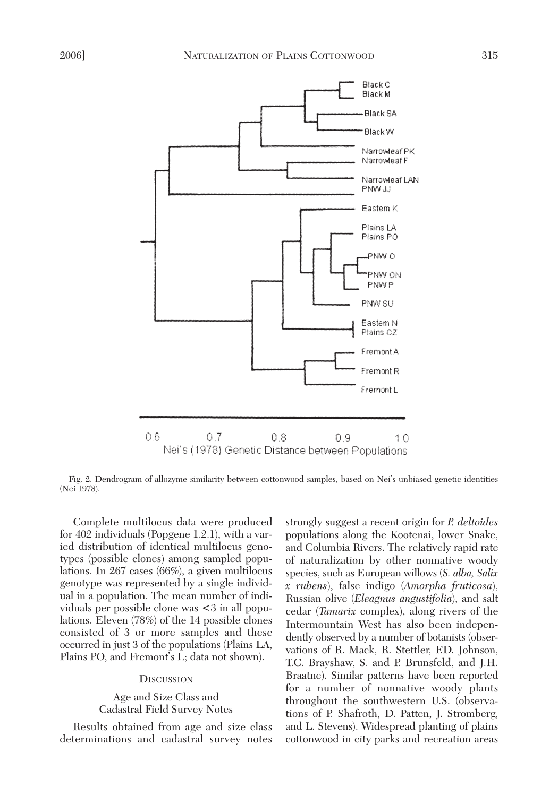

Fig. 2. Dendrogram of allozyme similarity between cottonwood samples, based on Nei's unbiased genetic identities (Nei 1978).

Complete multilocus data were produced for 402 individuals (Popgene 1.2.1), with a varied distribution of identical multilocus genotypes (possible clones) among sampled populations. In 267 cases (66%), a given multilocus genotype was represented by a single individual in a population. The mean number of individuals per possible clone was <3 in all populations. Eleven (78%) of the 14 possible clones consisted of 3 or more samples and these occurred in just 3 of the populations (Plains LA, Plains PO, and Fremont's L; data not shown).

#### **DISCUSSION**

### Age and Size Class and Cadastral Field Survey Notes

Results obtained from age and size class determinations and cadastral survey notes strongly suggest a recent origin for *P. deltoides* populations along the Kootenai, lower Snake, and Columbia Rivers. The relatively rapid rate of naturalization by other nonnative woody species, such as European willows (*S. alba, Salix x rubens*), false indigo (*Amorpha fruticosa*), Russian olive (*Eleagnus angustifolia*), and salt cedar (*Tamarix* complex), along rivers of the Intermountain West has also been independently observed by a number of botanists (observations of R. Mack, R. Stettler, F.D. Johnson, T.C. Brayshaw, S. and P. Brunsfeld, and J.H. Braatne). Similar patterns have been reported for a number of nonnative woody plants throughout the southwestern U.S. (observations of P. Shafroth, D. Patten, J. Stromberg, and L. Stevens). Widespread planting of plains cottonwood in city parks and recreation areas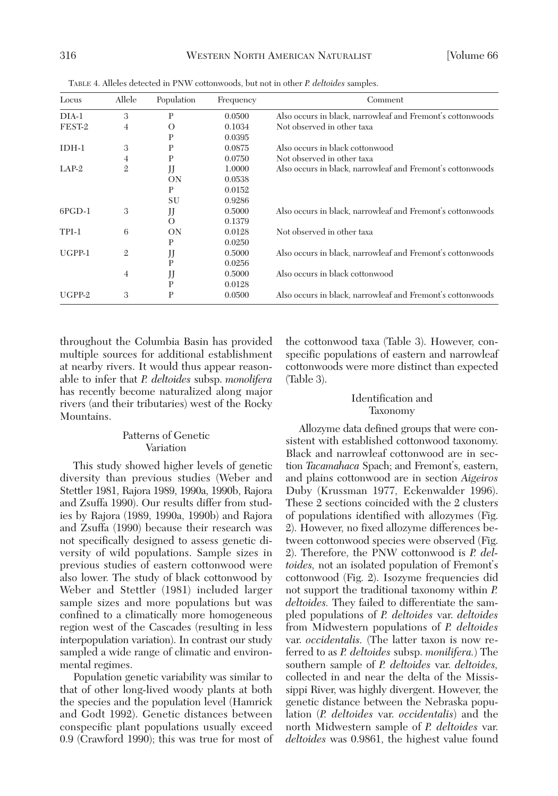| Locus    | Allele         | Population | Frequency | Comment                                                    |
|----------|----------------|------------|-----------|------------------------------------------------------------|
| $DIA-1$  | 3              | Р          | 0.0500    | Also occurs in black, narrowleaf and Fremont's cottonwoods |
| FEST-2   | 4              | $\Omega$   | 0.1034    | Not observed in other taxa                                 |
|          |                | P          | 0.0395    |                                                            |
| $IDH-1$  | 3              | P          | 0.0875    | Also occurs in black cottonwood                            |
|          | 4              | Р          | 0.0750    | Not observed in other taxa                                 |
| $LAP-2$  | $\overline{2}$ | JJ         | 1.0000    | Also occurs in black, narrowleaf and Fremont's cottonwoods |
|          |                | ON         | 0.0538    |                                                            |
|          |                | P          | 0.0152    |                                                            |
|          |                | SU         | 0.9286    |                                                            |
| 6PGD-1   | 3              | JJ         | 0.5000    | Also occurs in black, narrowleaf and Fremont's cottonwoods |
|          |                | $\Omega$   | 0.1379    |                                                            |
| TPI-1    | 6              | ON         | 0.0128    | Not observed in other taxa                                 |
|          |                | P          | 0.0250    |                                                            |
| UGPP-1   | $\overline{2}$ | JJ         | 0.5000    | Also occurs in black, narrowleaf and Fremont's cottonwoods |
|          |                | P          | 0.0256    |                                                            |
|          | $\overline{4}$ | JJ         | 0.5000    | Also occurs in black cottonwood                            |
|          |                | P          | 0.0128    |                                                            |
| $UGPP-2$ | 3              | Р          | 0.0500    | Also occurs in black, narrowleaf and Fremont's cottonwoods |

TABLE 4. Alleles detected in PNW cottonwoods, but not in other *P. deltoides* samples.

throughout the Columbia Basin has provided multiple sources for additional establishment at nearby rivers. It would thus appear reasonable to infer that *P. deltoides* subsp. *monolifera* has recently become naturalized along major rivers (and their tributaries) west of the Rocky Mountains.

## Patterns of Genetic Variation

This study showed higher levels of genetic diversity than previous studies (Weber and Stettler 1981, Rajora 1989, 1990a, 1990b, Rajora and Zsuffa 1990). Our results differ from studies by Rajora (1989, 1990a, 1990b) and Rajora and Zsuffa (1990) because their research was not specifically designed to assess genetic diversity of wild populations. Sample sizes in previous studies of eastern cottonwood were also lower. The study of black cottonwood by Weber and Stettler (1981) included larger sample sizes and more populations but was confined to a climatically more homogeneous region west of the Cascades (resulting in less interpopulation variation). In contrast our study sampled a wide range of climatic and environmental regimes.

Population genetic variability was similar to that of other long-lived woody plants at both the species and the population level (Hamrick and Godt 1992). Genetic distances between conspecific plant populations usually exceed 0.9 (Crawford 1990); this was true for most of the cottonwood taxa (Table 3). However, conspecific populations of eastern and narrowleaf cottonwoods were more distinct than expected (Table 3).

### Identification and Taxonomy

Allozyme data defined groups that were consistent with established cottonwood taxonomy. Black and narrowleaf cottonwood are in section *Tacamahaca* Spach; and Fremont's, eastern, and plains cottonwood are in section *Aigeiros* Duby (Krussman 1977, Eckenwalder 1996). These 2 sections coincided with the 2 clusters of populations identified with allozymes (Fig. 2). However, no fixed allozyme differences between cottonwood species were observed (Fig. 2). Therefore, the PNW cottonwood is *P. deltoides,* not an isolated population of Fremont's cottonwood (Fig. 2). Isozyme frequencies did not support the traditional taxonomy within *P. deltoides.* They failed to differentiate the sampled populations of *P. deltoides* var. *deltoides* from Midwestern populations of *P. deltoides* var. *occidentalis.* (The latter taxon is now referred to as *P. deltoides* subsp. *monilifera.*) The southern sample of *P. deltoides* var. *deltoides,* collected in and near the delta of the Mississippi River, was highly divergent. However, the genetic distance between the Nebraska population (*P. deltoides* var. *occidentalis*) and the north Midwestern sample of *P. deltoides* var. *deltoides* was 0.9861, the highest value found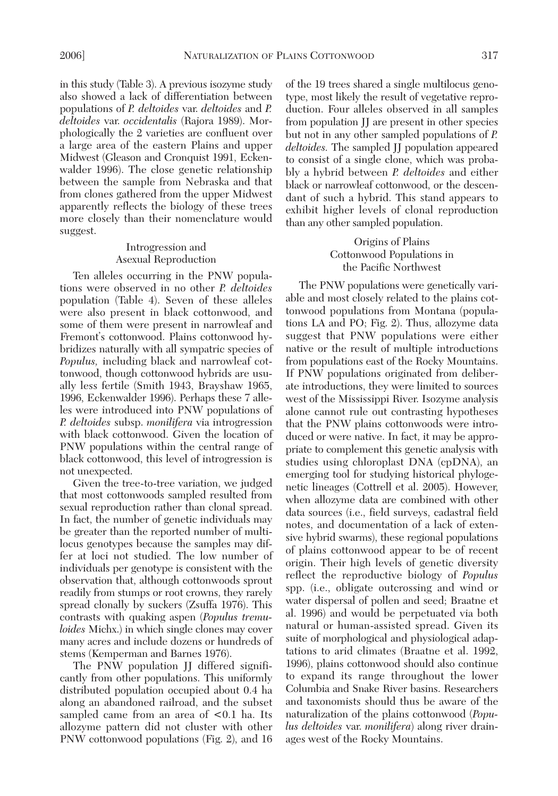in this study (Table 3). A previous isozyme study also showed a lack of differentiation between populations of *P. deltoides* var. *deltoides* and *P. deltoides* var. *occidentalis* (Rajora 1989). Morphologically the 2 varieties are confluent over a large area of the eastern Plains and upper Midwest (Gleason and Cronquist 1991, Eckenwalder 1996). The close genetic relationship between the sample from Nebraska and that from clones gathered from the upper Midwest apparently reflects the biology of these trees more closely than their nomenclature would suggest.

# Introgression and Asexual Reproduction

Ten alleles occurring in the PNW populations were observed in no other *P. deltoides* population (Table 4). Seven of these alleles were also present in black cottonwood, and some of them were present in narrowleaf and Fremont's cottonwood. Plains cottonwood hybridizes naturally with all sympatric species of *Populus,* including black and narrowleaf cottonwood, though cottonwood hybrids are usually less fertile (Smith 1943, Brayshaw 1965, 1996, Eckenwalder 1996). Perhaps these 7 alleles were introduced into PNW populations of *P. deltoides* subsp. *monilifera* via introgression with black cottonwood. Given the location of PNW populations within the central range of black cottonwood, this level of introgression is not unexpected.

Given the tree-to-tree variation, we judged that most cottonwoods sampled resulted from sexual reproduction rather than clonal spread. In fact, the number of genetic individuals may be greater than the reported number of multilocus genotypes because the samples may differ at loci not studied. The low number of individuals per genotype is consistent with the observation that, although cottonwoods sprout readily from stumps or root crowns, they rarely spread clonally by suckers (Zsuffa 1976). This contrasts with quaking aspen (*Populus tremuloides* Michx.) in which single clones may cover many acres and include dozens or hundreds of stems (Kemperman and Barnes 1976).

The PNW population II differed significantly from other populations. This uniformly distributed population occupied about 0.4 ha along an abandoned railroad, and the subset sampled came from an area of  $\leq 0.1$  ha. Its allozyme pattern did not cluster with other PNW cottonwood populations (Fig. 2), and 16

of the 19 trees shared a single multilocus genotype, most likely the result of vegetative reproduction. Four alleles observed in all samples from population II are present in other species but not in any other sampled populations of *P. deltoides.* The sampled JJ population appeared to consist of a single clone, which was probably a hybrid between *P. deltoides* and either black or narrowleaf cottonwood, or the descendant of such a hybrid. This stand appears to exhibit higher levels of clonal reproduction than any other sampled population.

# Origins of Plains Cottonwood Populations in the Pacific Northwest

The PNW populations were genetically variable and most closely related to the plains cottonwood populations from Montana (populations LA and PO; Fig. 2). Thus, allozyme data suggest that PNW populations were either native or the result of multiple introductions from populations east of the Rocky Mountains. If PNW populations originated from deliberate introductions, they were limited to sources west of the Mississippi River. Isozyme analysis alone cannot rule out contrasting hypotheses that the PNW plains cottonwoods were introduced or were native. In fact, it may be appropriate to complement this genetic analysis with studies using chloroplast DNA (cpDNA), an emerging tool for studying historical phylogenetic lineages (Cottrell et al. 2005). However, when allozyme data are combined with other data sources (i.e., field surveys, cadastral field notes, and documentation of a lack of extensive hybrid swarms), these regional populations of plains cottonwood appear to be of recent origin. Their high levels of genetic diversity reflect the reproductive biology of *Populus* spp. (i.e., obligate outcrossing and wind or water dispersal of pollen and seed; Braatne et al. 1996) and would be perpetuated via both natural or human-assisted spread. Given its suite of morphological and physiological adaptations to arid climates (Braatne et al. 1992, 1996), plains cottonwood should also continue to expand its range throughout the lower Columbia and Snake River basins. Researchers and taxonomists should thus be aware of the naturalization of the plains cottonwood (*Populus deltoides* var. *monilifera*) along river drainages west of the Rocky Mountains.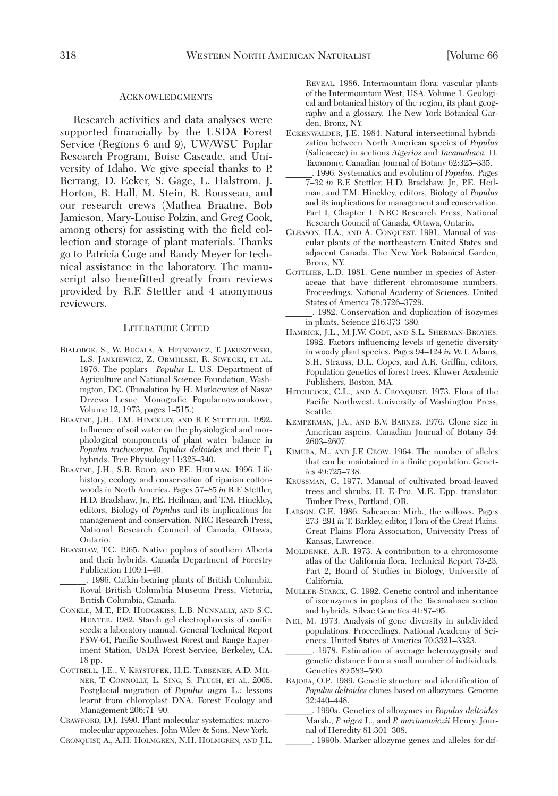### ACKNOWLEDGMENTS

Research activities and data analyses were supported financially by the USDA Forest Service (Regions 6 and 9), UW/WSU Poplar Research Program, Boise Cascade, and University of Idaho. We give special thanks to P. Berrang, D. Ecker, S. Gage, L. Halstrom, J. Horton, R. Hall, M. Stein, R. Rousseau, and our research crews (Mathea Braatne, Bob Jamieson, Mary-Louise Polzin, and Greg Cook, among others) for assisting with the field collection and storage of plant materials. Thanks go to Patricia Guge and Randy Meyer for technical assistance in the laboratory. The manuscript also benefitted greatly from reviews provided by R.F. Stettler and 4 anonymous reviewers.

#### LITERATURE CITED

- BIALOBOK, S., W. BUGALA, A. HEJNOWICZ, T. JAKUSZEWSKI, L.S. JANKIEWICZ, Z. OBMIILSKI, R. SIWECKI, ET AL. 1976. The poplars—*Populus* L. U.S. Department of Agriculture and National Science Foundation, Washington, DC. (Translation by H. Markiewicz of Nasze Drzewa Lesne Monografie Popularnownaukowe, Volume 12, 1973, pages 1–515.)
- BRAATNE, J.H., T.M. HINCKLEY, AND R.F. STETTLER. 1992. Influence of soil water on the physiological and morphological components of plant water balance in *Populus trichocarpa, Populus deltoides* and their F1 hybrids. Tree Physiology 11:325–340.
- BRAATNE, J.H., S.B. ROOD, AND P.E. HEILMAN. 1996. Life history, ecology and conservation of riparian cottonwoods in North America. Pages 57–85 *in* R.F. Stettler, H.D. Bradshaw, Jr., P.E. Heilman, and T.M. Hinckley, editors, Biology of *Populus* and its implications for management and conservation. NRC Research Press, National Research Council of Canada, Ottawa, Ontario.
- BRAYSHAW, T.C. 1965. Native poplars of southern Alberta and their hybrids. Canada Department of Forestry Publication 1109:1–40.
- \_\_\_\_\_\_. 1996. Catkin-bearing plants of British Columbia. Royal British Columbia Museum Press, Victoria, British Columbia, Canada.
- CONKLE, M.T., P.D. HODGSKISS, L.B. NUNNALLY, AND S.C. HUNTER. 1982. Starch gel electrophoresis of conifer seeds: a laboratory manual. General Technical Report PSW-64, Pacific Southwest Forest and Range Experiment Station, USDA Forest Service, Berkeley, CA. 18 pp.
- COTTRELL, J.E., V. KRYSTUFEK, H.E. TABBENER, A.D. MIL-NER, T. CONNOLLY, L. SING, S. FLUCH, ET AL. 2005. Postglacial migration of *Populus nigra* L.: lessons learnt from chloroplast DNA. Forest Ecology and Management 206:71–90.
- CRAWFORD, D.J. 1990. Plant molecular systematics: macromolecular approaches. John Wiley & Sons, New York.
- CRONQUIST, A., A.H. HOLMGREN, N.H. HOLMGREN, AND J.L.

REVEAL. 1986. Intermountain flora: vascular plants of the Intermountain West, USA. Volume 1. Geological and botanical history of the region, its plant geography and a glossary. The New York Botanical Garden, Bronx, NY.

- ECKENWALDER, J.E. 1984. Natural intersectional hybridization between North American species of *Populus* (Salicaceae) in sections *Aigerios* and *Tacamahaca.* II. Taxonomy. Canadian Journal of Botany 62:325–335.
- \_\_\_\_\_\_. 1996. Systematics and evolution of *Populus.* Pages 7–32 *in* R.F. Stettler, H.D. Bradshaw, Jr., P.E. Heilman, and T.M. Hinckley, editors, Biology of *Populus* and its implications for management and conservation. Part I, Chapter 1. NRC Research Press, National Research Council of Canada, Ottawa, Ontario.
- GLEASON, H.A., AND A. CONQUEST. 1991. Manual of vascular plants of the northeastern United States and adjacent Canada. The New York Botanical Garden, Bronx, NY.
- GOTTLIEB, L.D. 1981. Gene number in species of Asteraceae that have different chromosome numbers. Proceedings. National Academy of Sciences. United States of America 78:3726–3729.
	- \_\_\_\_\_\_. 1982. Conservation and duplication of isozymes in plants. Science 216:373–380.
- HAMRICK, J.L., M.J.W. GODT, AND S.L. SHERMAN-BROYIES. 1992. Factors influencing levels of genetic diversity in woody plant species. Pages 94–124 *in* W.T. Adams, S.H. Strauss, D.L. Copes, and A.R. Griffin, editors, Population genetics of forest trees. Kluwer Academic Publishers, Boston, MA.
- HITCHCOCK, C.L., AND A. CRONQUIST. 1973. Flora of the Pacific Northwest. University of Washington Press, Seattle.
- KEMPERMAN, J.A., AND B.V. BARNES. 1976. Clone size in American aspens. Canadian Journal of Botany 54: 2603–2607.
- KIMURA, M., AND J.F. CROW. 1964. The number of alleles that can be maintained in a finite population. Genetics 49:725–738.
- KRUSSMAN, G. 1977. Manual of cultivated broad-leaved trees and shrubs. II. E-Pro. M.E. Epp. translator. Timber Press, Portland, OR.
- LARSON, G.E. 1986. Salicaceae Mirb., the willows. Pages 273–291 *in* T. Barkley, editor, Flora of the Great Plains. Great Plains Flora Association, University Press of Kansas, Lawrence.
- MOLDENKE, A.R. 1973. A contribution to a chromosome atlas of the California flora. Technical Report 73-23, Part 2, Board of Studies in Biology, University of California.
- MULLER-STARCK, G. 1992. Genetic control and inheritance of isoenzymes in poplars of the Tacamahaca section and hybrids. Silvae Genetica 41:87–95.
- NEI, M. 1973. Analysis of gene diversity in subdivided populations. Proceedings. National Academy of Sciences. United States of America 70:3321–3323.
- \_\_\_\_\_\_. 1978. Estimation of average heterozygosity and genetic distance from a small number of individuals. Genetics 89:583–590.
- RAJORA, O.P. 1989. Genetic structure and identification of *Populus deltoides* clones based on allozymes. Genome 32:440–448.
	- \_\_\_\_\_\_. 1990a. Genetics of allozymes in *Populus deltoides* Marsh., *P. nigra* L., and *P. maximowiczii* Henry. Journal of Heredity 81:301–308.
		- \_\_\_\_\_\_. 1990b. Marker allozyme genes and alleles for dif-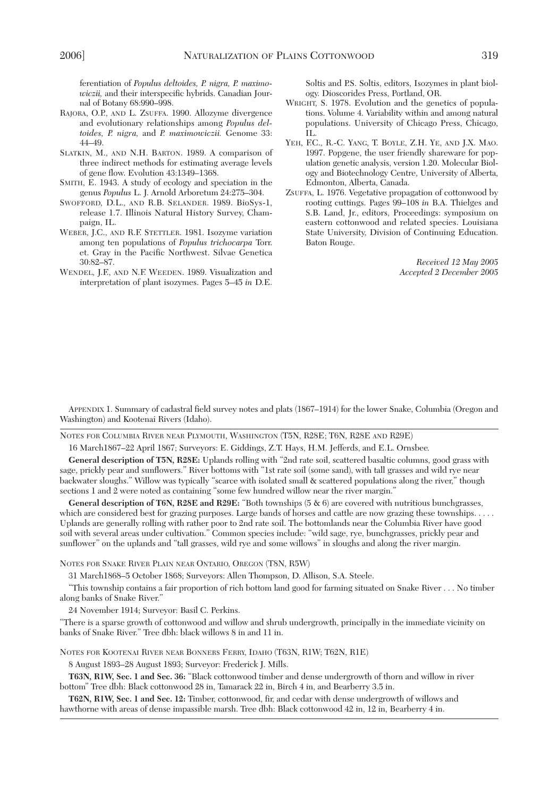ferentiation of *Populus deltoides, P. nigra, P. maximowiczii,* and their interspecific hybrids. Canadian Journal of Botany 68:990–998.

- RAJORA, O.P., AND L. ZSUFFA. 1990. Allozyme divergence and evolutionary relationships among *Populus deltoides, P. nigra,* and *P. maximowiczii.* Genome 33: 44–49.
- SLATKIN, M., AND N.H. BARTON. 1989. A comparison of three indirect methods for estimating average levels of gene flow. Evolution 43:1349–1368.
- SMITH, E. 1943. A study of ecology and speciation in the genus *Populus* L. J. Arnold Arboretum 24:275–304.
- SWOFFORD, D.L., AND R.B. SELANDER. 1989. BioSys-1, release 1.7. Illinois Natural History Survey, Champaign, IL.
- WEBER, J.C., AND R.F. STETTLER. 1981. Isozyme variation among ten populations of *Populus trichocarpa* Torr. et. Gray in the Pacific Northwest. Silvae Genetica 30:82–87.
- WENDEL, J.F., AND N.F. WEEDEN. 1989. Visualization and interpretation of plant isozymes. Pages 5–45 *in* D.E.

Soltis and P.S. Soltis, editors, Isozymes in plant biology. Dioscorides Press, Portland, OR.

- WRIGHT, S. 1978. Evolution and the genetics of populations. Volume 4. Variability within and among natural populations. University of Chicago Press, Chicago, IL.
- YEH, F.C., R.-C. YANG, T. BOYLE, Z.H. YE, AND J.X. MAO. 1997. Popgene, the user friendly shareware for population genetic analysis, version 1.20. Molecular Biology and Biotechnology Centre, University of Alberta, Edmonton, Alberta, Canada.
- ZSUFFA, L. 1976. Vegetative propagation of cottonwood by rooting cuttings. Pages 99–108 *in* B.A. Thielges and S.B. Land, Jr., editors, Proceedings: symposium on eastern cottonwood and related species. Louisiana State University, Division of Continuing Education. Baton Rouge.

*Received 12 May 2005 Accepted 2 December 2005*

APPENDIX 1. Summary of cadastral field survey notes and plats (1867–1914) for the lower Snake, Columbia (Oregon and Washington) and Kootenai Rivers (Idaho).

NOTES FOR COLUMBIA RIVER NEAR PLYMOUTH, WASHINGTON (T5N, R28E; T6N, R28E AND R29E)

16 March1867–22 April 1867; Surveyors: E. Giddings, Z.T. Hays, H.M. Jefferds, and E.L. Ornsbee*.*

**General description of T5N, R28E:** Uplands rolling with "2nd rate soil, scattered basaltic columns, good grass with sage, prickly pear and sunflowers." River bottoms with "1st rate soil (some sand), with tall grasses and wild rye near backwater sloughs." Willow was typically "scarce with isolated small & scattered populations along the river," though sections 1 and 2 were noted as containing "some few hundred willow near the river margin."

**General description of T6N, R28E and R29E:** "Both townships (5 & 6) are covered with nutritious bunchgrasses, which are considered best for grazing purposes. Large bands of horses and cattle are now grazing these townships. . . . . Uplands are generally rolling with rather poor to 2nd rate soil. The bottomlands near the Columbia River have good soil with several areas under cultivation." Common species include: "wild sage, rye, bunchgrasses, prickly pear and sunflower" on the uplands and "tall grasses, wild rye and some willows" in sloughs and along the river margin.

NOTES FOR SNAKE RIVER PLAIN NEAR ONTARIO, OREGON (T8N, R5W)

31 March1868–5 October 1868; Surveyors: Allen Thompson, D. Allison, S.A. Steele.

"This township contains a fair proportion of rich bottom land good for farming situated on Snake River . . . No timber along banks of Snake River."

24 November 1914; Surveyor: Basil C. Perkins.

"There is a sparse growth of cottonwood and willow and shrub undergrowth, principally in the immediate vicinity on banks of Snake River." Tree dbh: black willows 8 in and 11 in.

NOTES FOR KOOTENAI RIVER NEAR BONNERS FERRY, IDAHO (T63N, R1W; T62N, R1E)

8 August 1893–28 August 1893; Surveyor: Frederick J. Mills.

**T63N, R1W, Sec. 1 and Sec. 36:** "Black cottonwood timber and dense undergrowth of thorn and willow in river bottom" Tree dbh: Black cottonwood 28 in, Tamarack 22 in, Birch 4 in, and Bearberry 3.5 in.

**T62N, R1W, Sec. 1 and Sec. 12:** Timber, cottonwood, fir, and cedar with dense undergrowth of willows and hawthorne with areas of dense impassible marsh. Tree dbh: Black cottonwood 42 in, 12 in, Bearberry 4 in.